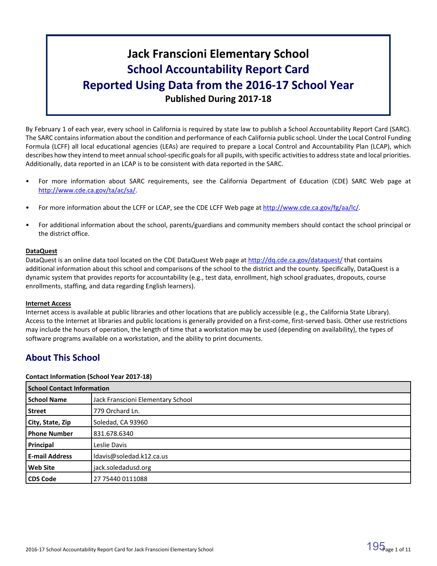# **Jack Franscioni Elementary School School Accountability Report Card Reported Using Data from the 2016-17 School Year Published During 2017-18**

By February 1 of each year, every school in California is required by state law to publish a School Accountability Report Card (SARC). The SARC contains information about the condition and performance of each California public school. Under the Local Control Funding Formula (LCFF) all local educational agencies (LEAs) are required to prepare a Local Control and Accountability Plan (LCAP), which describes how they intend to meet annual school-specific goals for all pupils, with specific activities to address state and local priorities. Additionally, data reported in an LCAP is to be consistent with data reported in the SARC.

- For more information about SARC requirements, see the California Department of Education (CDE) SARC Web page at [http://www.cde.ca.gov/ta/ac/sa/.](http://www.cde.ca.gov/ta/ac/sa/)
- For more information about the LCFF or LCAP, see the CDE LCFF Web page at [http://www.cde.ca.gov/fg/aa/lc/.](http://www.cde.ca.gov/fg/aa/lc/)
- For additional information about the school, parents/guardians and community members should contact the school principal or the district office.

### **DataQuest**

DataQuest is an online data tool located on the CDE DataQuest Web page at <http://dq.cde.ca.gov/dataquest/> that contains additional information about this school and comparisons of the school to the district and the county. Specifically, DataQuest is a dynamic system that provides reports for accountability (e.g., test data, enrollment, high school graduates, dropouts, course enrollments, staffing, and data regarding English learners).

### **Internet Access**

Internet access is available at public libraries and other locations that are publicly accessible (e.g., the California State Library). Access to the Internet at libraries and public locations is generally provided on a first-come, first-served basis. Other use restrictions may include the hours of operation, the length of time that a workstation may be used (depending on availability), the types of software programs available on a workstation, and the ability to print documents.

### **About This School**

### **Contact Information (School Year 2017-18)**

| <b>School Contact Information</b> |                                   |
|-----------------------------------|-----------------------------------|
| <b>School Name</b>                | Jack Franscioni Elementary School |
| <b>Street</b>                     | 779 Orchard Ln.                   |
| City, State, Zip                  | Soledad, CA 93960                 |
| <b>Phone Number</b>               | 831.678.6340                      |
| Principal                         | Leslie Davis                      |
| <b>E-mail Address</b>             | ldavis@soledad.k12.ca.us          |
| <b>Web Site</b>                   | jack.soledadusd.org               |
| <b>CDS Code</b>                   | 27 75440 0111088                  |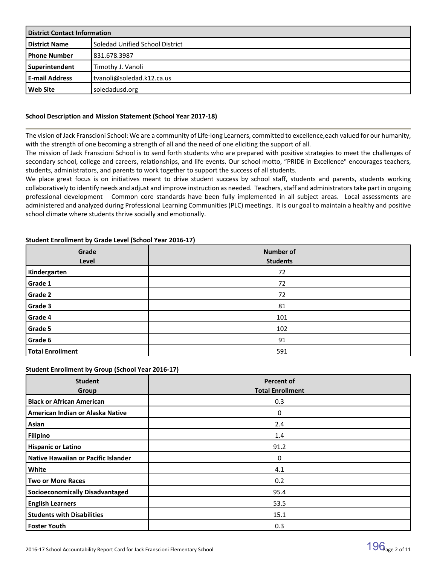| <b>District Contact Information</b> |                                 |  |  |
|-------------------------------------|---------------------------------|--|--|
| <b>District Name</b>                | Soledad Unified School District |  |  |
| l Phone Number                      | 831.678.3987                    |  |  |
| Superintendent                      | Timothy J. Vanoli               |  |  |
| <b>E-mail Address</b>               | tvanoli@soledad.k12.ca.us       |  |  |
| l Web Site                          | soledadusd.org                  |  |  |

### **School Description and Mission Statement (School Year 2017-18)**

The vision of Jack Franscioni School: We are a community of Life-long Learners, committed to excellence,each valued for our humanity, with the strength of one becoming a strength of all and the need of one eliciting the support of all.

The mission of Jack Franscioni School is to send forth students who are prepared with positive strategies to meet the challenges of secondary school, college and careers, relationships, and life events. Our school motto, "PRIDE in Excellence" encourages teachers, students, administrators, and parents to work together to support the success of all students.

We place great focus is on initiatives meant to drive student success by school staff, students and parents, students working collaboratively to identify needs and adjust and improve instruction as needed. Teachers, staff and administrators take part in ongoing professional development Common core standards have been fully implemented in all subject areas. Local assessments are administered and analyzed during Professional Learning Communities (PLC) meetings. It is our goal to maintain a healthy and positive school climate where students thrive socially and emotionally.

| Grade                   | <b>Number of</b> |  |  |  |  |
|-------------------------|------------------|--|--|--|--|
| Level                   | <b>Students</b>  |  |  |  |  |
| Kindergarten            | 72               |  |  |  |  |
| Grade 1                 | 72               |  |  |  |  |
| Grade 2                 | 72               |  |  |  |  |
| Grade 3                 | 81               |  |  |  |  |
| Grade 4                 | 101              |  |  |  |  |
| Grade 5                 | 102              |  |  |  |  |
| Grade 6                 | 91               |  |  |  |  |
| <b>Total Enrollment</b> | 591              |  |  |  |  |

### **Student Enrollment by Grade Level (School Year 2016-17)**

### **Student Enrollment by Group (School Year 2016-17)**

| <b>Student</b><br>Group                | <b>Percent of</b><br><b>Total Enrollment</b> |
|----------------------------------------|----------------------------------------------|
| <b>Black or African American</b>       | 0.3                                          |
| American Indian or Alaska Native       | $\Omega$                                     |
| Asian                                  | 2.4                                          |
| <b>Filipino</b>                        | 1.4                                          |
| <b>Hispanic or Latino</b>              | 91.2                                         |
| Native Hawaiian or Pacific Islander    | 0                                            |
| White                                  | 4.1                                          |
| <b>Two or More Races</b>               | 0.2                                          |
| <b>Socioeconomically Disadvantaged</b> | 95.4                                         |
| <b>English Learners</b>                | 53.5                                         |
| <b>Students with Disabilities</b>      | 15.1                                         |
| <b>Foster Youth</b>                    | 0.3                                          |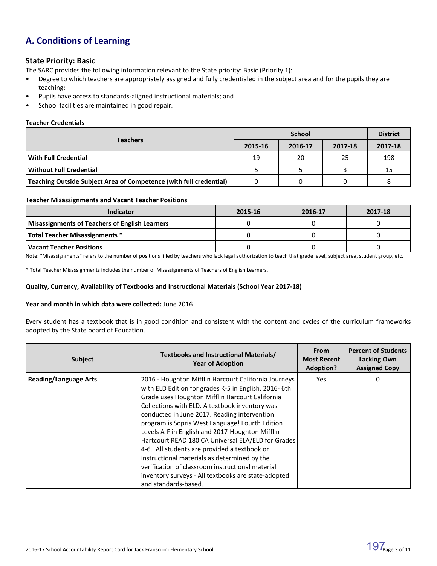# **A. Conditions of Learning**

### **State Priority: Basic**

The SARC provides the following information relevant to the State priority: Basic (Priority 1):

- Degree to which teachers are appropriately assigned and fully credentialed in the subject area and for the pupils they are teaching;
- Pupils have access to standards-aligned instructional materials; and
- School facilities are maintained in good repair.

### **Teacher Credentials**

|                                                                    |         | <b>District</b> |         |         |
|--------------------------------------------------------------------|---------|-----------------|---------|---------|
| <b>Teachers</b>                                                    | 2015-16 | 2016-17         | 2017-18 | 2017-18 |
| l With Full Credential                                             | 19      | 20              | 25      | 198     |
| l Without Full Credential                                          |         |                 |         | 15      |
| Teaching Outside Subject Area of Competence (with full credential) |         |                 |         |         |

### **Teacher Misassignments and Vacant Teacher Positions**

| <b>Indicator</b>                               | 2015-16 | 2016-17 | 2017-18 |
|------------------------------------------------|---------|---------|---------|
| Misassignments of Teachers of English Learners |         |         |         |
| Total Teacher Misassignments *                 |         |         |         |
| <b>Vacant Teacher Positions</b>                |         |         |         |

Note: "Misassignments" refers to the number of positions filled by teachers who lack legal authorization to teach that grade level, subject area, student group, etc.

\* Total Teacher Misassignments includes the number of Misassignments of Teachers of English Learners.

### **Quality, Currency, Availability of Textbooks and Instructional Materials (School Year 2017-18)**

### **Year and month in which data were collected:** June 2016

Every student has a textbook that is in good condition and consistent with the content and cycles of the curriculum frameworks adopted by the State board of Education.

| <b>Subject</b>               | <b>Textbooks and Instructional Materials/</b><br><b>Year of Adoption</b>                                                                                                                                                                                                                                                                                                                                                                                                                                                                                                                                                                                        | <b>From</b><br><b>Most Recent</b><br><b>Adoption?</b> | <b>Percent of Students</b><br><b>Lacking Own</b><br><b>Assigned Copy</b> |
|------------------------------|-----------------------------------------------------------------------------------------------------------------------------------------------------------------------------------------------------------------------------------------------------------------------------------------------------------------------------------------------------------------------------------------------------------------------------------------------------------------------------------------------------------------------------------------------------------------------------------------------------------------------------------------------------------------|-------------------------------------------------------|--------------------------------------------------------------------------|
| <b>Reading/Language Arts</b> | 2016 - Houghton Mifflin Harcourt California Journeys<br>with ELD Edition for grades K-5 in English. 2016-6th<br>Grade uses Houghton Mifflin Harcourt California<br>Collections with ELD. A textbook inventory was<br>conducted in June 2017. Reading intervention<br>program is Sopris West Language! Fourth Edition<br>Levels A-F in English and 2017-Houghton Mifflin<br>Hartcourt READ 180 CA Universal ELA/ELD for Grades<br>4-6 All students are provided a textbook or<br>instructional materials as determined by the<br>verification of classroom instructional material<br>inventory surveys - All textbooks are state-adopted<br>and standards-based. | Yes                                                   | 0                                                                        |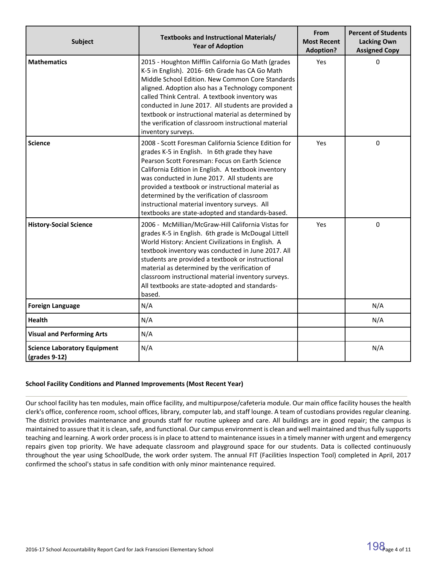| <b>Subject</b>                                        | Textbooks and Instructional Materials/<br><b>Year of Adoption</b>                                                                                                                                                                                                                                                                                                                                                                                                      | From<br><b>Most Recent</b><br><b>Adoption?</b> | <b>Percent of Students</b><br><b>Lacking Own</b><br><b>Assigned Copy</b> |  |
|-------------------------------------------------------|------------------------------------------------------------------------------------------------------------------------------------------------------------------------------------------------------------------------------------------------------------------------------------------------------------------------------------------------------------------------------------------------------------------------------------------------------------------------|------------------------------------------------|--------------------------------------------------------------------------|--|
| <b>Mathematics</b>                                    | 2015 - Houghton Mifflin California Go Math (grades<br>K-5 in English). 2016- 6th Grade has CA Go Math<br>Middle School Edition. New Common Core Standards<br>aligned. Adoption also has a Technology component<br>called Think Central. A textbook inventory was<br>conducted in June 2017. All students are provided a<br>textbook or instructional material as determined by<br>the verification of classroom instructional material<br>inventory surveys.           | Yes                                            | 0                                                                        |  |
| <b>Science</b>                                        | 2008 - Scott Foresman California Science Edition for<br>grades K-5 in English. In 6th grade they have<br>Pearson Scott Foresman: Focus on Earth Science<br>California Edition in English. A textbook inventory<br>was conducted in June 2017. All students are<br>provided a textbook or instructional material as<br>determined by the verification of classroom<br>instructional material inventory surveys. All<br>textbooks are state-adopted and standards-based. | Yes                                            | $\Omega$                                                                 |  |
| <b>History-Social Science</b>                         | 2006 - McMillian/McGraw-Hill California Vistas for<br>grades K-5 in English. 6th grade is McDougal Littell<br>World History: Ancient Civilizations in English. A<br>textbook inventory was conducted in June 2017. All<br>students are provided a textbook or instructional<br>material as determined by the verification of<br>classroom instructional material inventory surveys.<br>All textbooks are state-adopted and standards-<br>based.                        | Yes                                            | $\Omega$                                                                 |  |
| <b>Foreign Language</b>                               | N/A                                                                                                                                                                                                                                                                                                                                                                                                                                                                    |                                                | N/A                                                                      |  |
| <b>Health</b>                                         | N/A                                                                                                                                                                                                                                                                                                                                                                                                                                                                    |                                                | N/A                                                                      |  |
| <b>Visual and Performing Arts</b>                     | N/A                                                                                                                                                                                                                                                                                                                                                                                                                                                                    |                                                |                                                                          |  |
| <b>Science Laboratory Equipment</b><br>$grades 9-12)$ | N/A                                                                                                                                                                                                                                                                                                                                                                                                                                                                    |                                                | N/A                                                                      |  |

### **School Facility Conditions and Planned Improvements (Most Recent Year)**

Our school facility has ten modules, main office facility, and multipurpose/cafeteria module. Our main office facility houses the health clerk's office, conference room, school offices, library, computer lab, and staff lounge. A team of custodians provides regular cleaning. The district provides maintenance and grounds staff for routine upkeep and care. All buildings are in good repair; the campus is maintained to assure that it is clean, safe, and functional. Our campus environment is clean and well maintained and thus fully supports teaching and learning. A work order process is in place to attend to maintenance issues in a timely manner with urgent and emergency repairs given top priority. We have adequate classroom and playground space for our students. Data is collected continuously throughout the year using SchoolDude, the work order system. The annual FIT (Facilities Inspection Tool) completed in April, 2017 confirmed the school's status in safe condition with only minor maintenance required.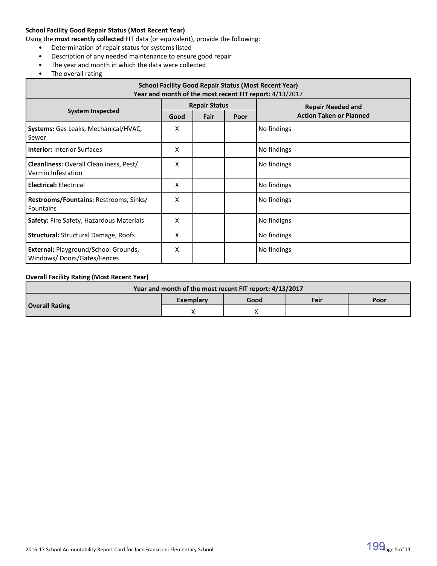### **School Facility Good Repair Status (Most Recent Year)**

Using the **most recently collected** FIT data (or equivalent), provide the following:

- Determination of repair status for systems listed
- Description of any needed maintenance to ensure good repair
- The year and month in which the data were collected
- The overall rating

| <b>School Facility Good Repair Status (Most Recent Year)</b><br>Year and month of the most recent FIT report: 4/13/2017 |      |                      |      |                                |  |  |
|-------------------------------------------------------------------------------------------------------------------------|------|----------------------|------|--------------------------------|--|--|
|                                                                                                                         |      | <b>Repair Status</b> |      | <b>Repair Needed and</b>       |  |  |
| <b>System Inspected</b>                                                                                                 | Good | Fair                 | Poor | <b>Action Taken or Planned</b> |  |  |
| Systems: Gas Leaks, Mechanical/HVAC,<br>Sewer                                                                           | х    |                      |      | No findings                    |  |  |
| <b>Interior: Interior Surfaces</b>                                                                                      | x    |                      |      | No findings                    |  |  |
| <b>Cleanliness: Overall Cleanliness, Pest/</b><br>Vermin Infestation                                                    | Χ    |                      |      | No findings                    |  |  |
| <b>Electrical: Electrical</b>                                                                                           | x    |                      |      | No findings                    |  |  |
| Restrooms/Fountains: Restrooms, Sinks/<br><b>Fountains</b>                                                              | x    |                      |      | No findings                    |  |  |
| <b>Safety: Fire Safety, Hazardous Materials</b>                                                                         | x    |                      |      | No findigns                    |  |  |
| <b>Structural: Structural Damage, Roofs</b>                                                                             | x    |                      |      | No findings                    |  |  |
| External: Playground/School Grounds,<br>Windows/Doors/Gates/Fences                                                      | x    |                      |      | No findings                    |  |  |

### **Overall Facility Rating (Most Recent Year)**

| Year and month of the most recent FIT report: 4/13/2017 |           |      |      |      |  |  |
|---------------------------------------------------------|-----------|------|------|------|--|--|
|                                                         | Exemplary | Good | Fair | Poor |  |  |
| <b>Overall Rating</b>                                   |           |      |      |      |  |  |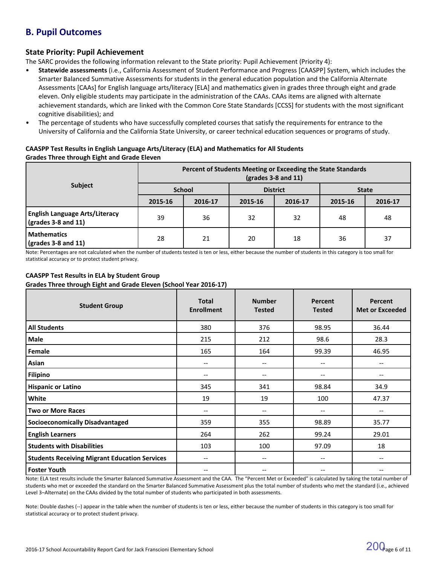## **B. Pupil Outcomes**

### **State Priority: Pupil Achievement**

The SARC provides the following information relevant to the State priority: Pupil Achievement (Priority 4):

- **Statewide assessments** (i.e., California Assessment of Student Performance and Progress [CAASPP] System, which includes the Smarter Balanced Summative Assessments for students in the general education population and the California Alternate Assessments [CAAs] for English language arts/literacy [ELA] and mathematics given in grades three through eight and grade eleven. Only eligible students may participate in the administration of the CAAs. CAAs items are aligned with alternate achievement standards, which are linked with the Common Core State Standards [CCSS] for students with the most significant cognitive disabilities); and
- The percentage of students who have successfully completed courses that satisfy the requirements for entrance to the University of California and the California State University, or career technical education sequences or programs of study.

### **CAASPP Test Results in English Language Arts/Literacy (ELA) and Mathematics for All Students Grades Three through Eight and Grade Eleven**

|                                                                            | Percent of Students Meeting or Exceeding the State Standards<br>$\left(\text{grades }3-8\right)$ and 11) |         |                 |         |              |         |
|----------------------------------------------------------------------------|----------------------------------------------------------------------------------------------------------|---------|-----------------|---------|--------------|---------|
| Subject                                                                    | <b>School</b>                                                                                            |         | <b>District</b> |         | <b>State</b> |         |
|                                                                            | 2015-16                                                                                                  | 2016-17 | 2015-16         | 2016-17 | 2015-16      | 2016-17 |
| <b>English Language Arts/Literacy</b><br>$\frac{1}{2}$ (grades 3-8 and 11) | 39                                                                                                       | 36      | 32              | 32      | 48           | 48      |
| <b>Mathematics</b><br>$\sqrt{(grades 3-8 and 11)}$                         | 28                                                                                                       | 21      | 20              | 18      | 36           | 37      |

Note: Percentages are not calculated when the number of students tested is ten or less, either because the number of students in this category is too small for statistical accuracy or to protect student privacy.

### **CAASPP Test Results in ELA by Student Group Grades Three through Eight and Grade Eleven (School Year 2016-17)**

| <b>Student Group</b>                                 | <b>Total</b><br><b>Enrollment</b>     | <b>Number</b><br><b>Tested</b>        | Percent<br><b>Tested</b>      | <b>Percent</b><br><b>Met or Exceeded</b> |
|------------------------------------------------------|---------------------------------------|---------------------------------------|-------------------------------|------------------------------------------|
| <b>All Students</b>                                  | 380                                   | 376                                   | 98.95                         | 36.44                                    |
| Male                                                 | 215                                   | 212                                   | 98.6                          | 28.3                                     |
| Female                                               | 165                                   | 164                                   | 99.39                         | 46.95                                    |
| Asian                                                | --                                    | --                                    | --                            |                                          |
| <b>Filipino</b>                                      | --                                    | $\qquad \qquad -$                     | $\overline{\phantom{a}}$      | --                                       |
| <b>Hispanic or Latino</b>                            | 345                                   | 341                                   | 98.84                         | 34.9                                     |
| White                                                | 19                                    | 19                                    | 100                           | 47.37                                    |
| <b>Two or More Races</b>                             | $\hspace{0.05cm}$ – $\hspace{0.05cm}$ | $\qquad \qquad -$                     | $-$                           |                                          |
| <b>Socioeconomically Disadvantaged</b>               | 359                                   | 355                                   | 98.89                         | 35.77                                    |
| <b>English Learners</b>                              | 264                                   | 262                                   | 99.24                         | 29.01                                    |
| <b>Students with Disabilities</b>                    | 103                                   | 100                                   | 97.09                         | 18                                       |
| <b>Students Receiving Migrant Education Services</b> | $\hspace{0.05cm}$ – $\hspace{0.05cm}$ | $\hspace{0.05cm}$ – $\hspace{0.05cm}$ | $\hspace{0.05cm} \textbf{--}$ | $- -$                                    |
| <b>Foster Youth</b>                                  | --                                    | $\qquad \qquad -$                     | $\overline{\phantom{a}}$      |                                          |

Note: ELA test results include the Smarter Balanced Summative Assessment and the CAA. The "Percent Met or Exceeded" is calculated by taking the total number of students who met or exceeded the standard on the Smarter Balanced Summative Assessment plus the total number of students who met the standard (i.e., achieved Level 3–Alternate) on the CAAs divided by the total number of students who participated in both assessments.

Note: Double dashes (--) appear in the table when the number of students is ten or less, either because the number of students in this category is too small for statistical accuracy or to protect student privacy.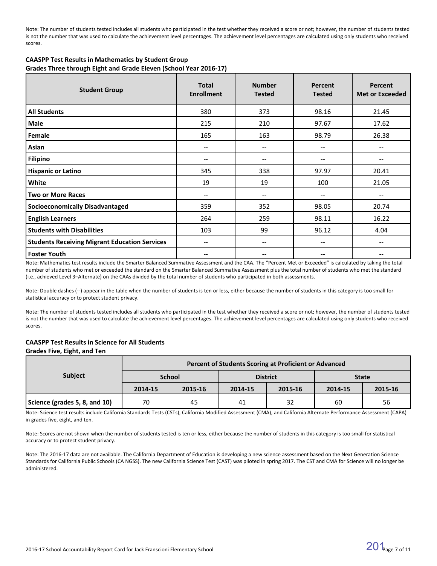Note: The number of students tested includes all students who participated in the test whether they received a score or not; however, the number of students tested is not the number that was used to calculate the achievement level percentages. The achievement level percentages are calculated using only students who received scores.

| <b>CAASPP Test Results in Mathematics by Student Group</b>        |
|-------------------------------------------------------------------|
| Grades Three through Eight and Grade Eleven (School Year 2016-17) |

| <b>Student Group</b>                                 | <b>Total</b><br><b>Enrollment</b> | <b>Number</b><br><b>Tested</b>        | Percent<br><b>Tested</b>              | Percent<br><b>Met or Exceeded</b> |
|------------------------------------------------------|-----------------------------------|---------------------------------------|---------------------------------------|-----------------------------------|
| <b>All Students</b>                                  | 380                               | 373                                   | 98.16                                 | 21.45                             |
| Male                                                 | 215                               | 210                                   | 97.67                                 | 17.62                             |
| Female                                               | 165                               | 163                                   | 98.79                                 | 26.38                             |
| Asian                                                | --                                | $\hspace{0.05cm}$ – $\hspace{0.05cm}$ | --                                    | --                                |
| Filipino                                             | --                                | $\hspace{0.05cm}$ – $\hspace{0.05cm}$ | --                                    |                                   |
| <b>Hispanic or Latino</b>                            | 345                               | 338                                   | 97.97                                 | 20.41                             |
| White                                                | 19                                | 19                                    | 100                                   | 21.05                             |
| <b>Two or More Races</b>                             | --                                | $\hspace{0.05cm} \ldots$              | --                                    |                                   |
| <b>Socioeconomically Disadvantaged</b>               | 359                               | 352                                   | 98.05                                 | 20.74                             |
| <b>English Learners</b>                              | 264                               | 259                                   | 98.11                                 | 16.22                             |
| <b>Students with Disabilities</b>                    | 103                               | 99                                    | 96.12                                 | 4.04                              |
| <b>Students Receiving Migrant Education Services</b> | --                                | $\hspace{0.05cm}$ – $\hspace{0.05cm}$ | $- -$                                 | --                                |
| <b>Foster Youth</b>                                  | --                                | $\hspace{0.05cm} \ldots$              | $\hspace{0.05cm}$ – $\hspace{0.05cm}$ | --                                |

Note: Mathematics test results include the Smarter Balanced Summative Assessment and the CAA. The "Percent Met or Exceeded" is calculated by taking the total number of students who met or exceeded the standard on the Smarter Balanced Summative Assessment plus the total number of students who met the standard (i.e., achieved Level 3–Alternate) on the CAAs divided by the total number of students who participated in both assessments.

Note: Double dashes (--) appear in the table when the number of students is ten or less, either because the number of students in this category is too small for statistical accuracy or to protect student privacy.

Note: The number of students tested includes all students who participated in the test whether they received a score or not; however, the number of students tested is not the number that was used to calculate the achievement level percentages. The achievement level percentages are calculated using only students who received scores.

# **CAASPP Test Results in Science for All Students**

#### **Grades Five, Eight, and Ten**

|                               | Percent of Students Scoring at Proficient or Advanced |               |         |                 |              |         |  |  |  |
|-------------------------------|-------------------------------------------------------|---------------|---------|-----------------|--------------|---------|--|--|--|
| <b>Subject</b>                |                                                       | <b>School</b> |         | <b>District</b> | <b>State</b> |         |  |  |  |
|                               | 2014-15                                               | 2015-16       | 2014-15 | 2015-16         | 2014-15      | 2015-16 |  |  |  |
| Science (grades 5, 8, and 10) | 70                                                    | 45            | 41      | 32              | 60           | 56      |  |  |  |

Note: Science test results include California Standards Tests (CSTs), California Modified Assessment (CMA), and California Alternate Performance Assessment (CAPA) in grades five, eight, and ten.

Note: Scores are not shown when the number of students tested is ten or less, either because the number of students in this category is too small for statistical accuracy or to protect student privacy.

Note: The 2016-17 data are not available. The California Department of Education is developing a new science assessment based on the Next Generation Science Standards for California Public Schools (CA NGSS). The new California Science Test (CAST) was piloted in spring 2017. The CST and CMA for Science will no longer be administered.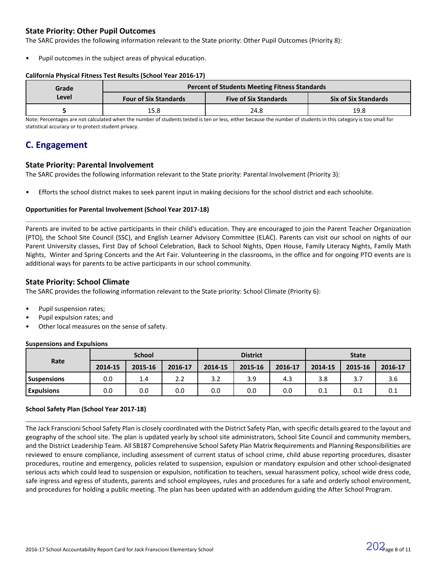### **State Priority: Other Pupil Outcomes**

The SARC provides the following information relevant to the State priority: Other Pupil Outcomes (Priority 8):

Pupil outcomes in the subject areas of physical education.

### **California Physical Fitness Test Results (School Year 2016-17)**

| Grade |                              | <b>Percent of Students Meeting Fitness Standards</b> |                             |
|-------|------------------------------|------------------------------------------------------|-----------------------------|
| Level | <b>Four of Six Standards</b> | <b>Five of Six Standards</b>                         | <b>Six of Six Standards</b> |
|       | 15.8                         | 24.8                                                 | 19.8                        |

Note: Percentages are not calculated when the number of students tested is ten or less, either because the number of students in this category is too small for statistical accuracy or to protect student privacy.

### **C. Engagement**

### **State Priority: Parental Involvement**

The SARC provides the following information relevant to the State priority: Parental Involvement (Priority 3):

• Efforts the school district makes to seek parent input in making decisions for the school district and each schoolsite.

### **Opportunities for Parental Involvement (School Year 2017-18)**

Parents are invited to be active participants in their child's education. They are encouraged to join the Parent Teacher Organization (PTO), the School Site Council (SSC), and English Learner Advisory Committee (ELAC). Parents can visit our school on nights of our Parent University classes, First Day of School Celebration, Back to School Nights, Open House, Family Literacy Nights, Family Math Nights, Winter and Spring Concerts and the Art Fair. Volunteering in the classrooms, in the office and for ongoing PTO events are is additional ways for parents to be active participants in our school community.

### **State Priority: School Climate**

The SARC provides the following information relevant to the State priority: School Climate (Priority 6):

- Pupil suspension rates;
- Pupil expulsion rates; and
- Other local measures on the sense of safety.

### **Suspensions and Expulsions**

|                    | <b>School</b> |         |         | <b>District</b> |         |         | <b>State</b> |         |         |
|--------------------|---------------|---------|---------|-----------------|---------|---------|--------------|---------|---------|
| Rate               | 2014-15       | 2015-16 | 2016-17 | 2014-15         | 2015-16 | 2016-17 | 2014-15      | 2015-16 | 2016-17 |
| <b>Suspensions</b> | 0.0           | 1.4     | 2.2     | 3.2             | 3.9     | 4.3     | 3.8          | 3.7     | 3.6     |
| <b>Expulsions</b>  | 0.0           | 0.0     | 0.0     | 0.0             | 0.0     | 0.0     | 0.1          | 0.1     | 0.1     |

### **School Safety Plan (School Year 2017-18)**

The Jack Franscioni School Safety Plan is closely coordinated with the District Safety Plan, with specific details geared to the layout and geography of the school site. The plan is updated yearly by school site administrators, School Site Council and community members, and the District Leadership Team. All SB187 Comprehensive School Safety Plan Matrix Requirements and Planning Responsibilities are reviewed to ensure compliance, including assessment of current status of school crime, child abuse reporting procedures, disaster procedures, routine and emergency, policies related to suspension, expulsion or mandatory expulsion and other school-designated serious acts which could lead to suspension or expulsion, notification to teachers, sexual harassment policy, school wide dress code, safe ingress and egress of students, parents and school employees, rules and procedures for a safe and orderly school environment, and procedures for holding a public meeting. The plan has been updated with an addendum guiding the After School Program.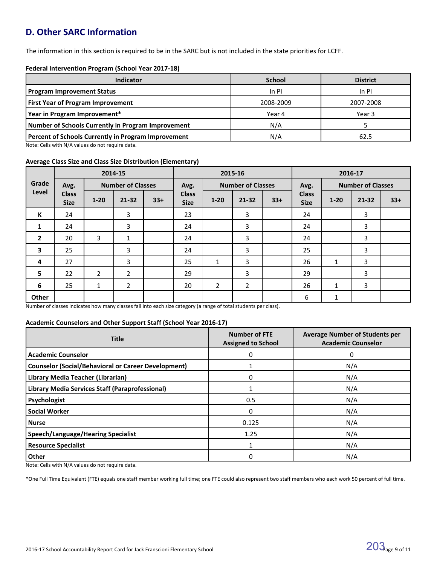# **D. Other SARC Information**

The information in this section is required to be in the SARC but is not included in the state priorities for LCFF.

### **Federal Intervention Program (School Year 2017-18)**

| <b>Indicator</b>                                           | <b>School</b> | <b>District</b> |
|------------------------------------------------------------|---------------|-----------------|
| <b>Program Improvement Status</b>                          | $In$ PI       | $In$ PI         |
| <b>First Year of Program Improvement</b>                   | 2008-2009     | 2007-2008       |
| Year in Program Improvement*                               | Year 4        | Year 3          |
| Number of Schools Currently in Program Improvement         | N/A           |                 |
| <b>Percent of Schools Currently in Program Improvement</b> | N/A           | 62.5            |

Note: Cells with N/A values do not require data.

### **Average Class Size and Class Size Distribution (Elementary)**

|                |                             | 2014-15<br>2015-16<br>2016-17 |                          |       |                             |                |                          |       |                             |              |                          |       |  |
|----------------|-----------------------------|-------------------------------|--------------------------|-------|-----------------------------|----------------|--------------------------|-------|-----------------------------|--------------|--------------------------|-------|--|
| Grade          | Avg.                        |                               | <b>Number of Classes</b> |       | Avg.                        |                | <b>Number of Classes</b> |       | Avg.                        |              | <b>Number of Classes</b> |       |  |
| Level          | <b>Class</b><br><b>Size</b> | $1 - 20$                      | $21 - 32$                | $33+$ | <b>Class</b><br><b>Size</b> | $1 - 20$       | $21 - 32$                | $33+$ | <b>Class</b><br><b>Size</b> | $1 - 20$     | 21-32                    | $33+$ |  |
| К              | 24                          |                               | 3                        |       | 23                          |                | 3                        |       | 24                          |              | 3                        |       |  |
| 1              | 24                          |                               | 3                        |       | 24                          |                | 3                        |       | 24                          |              | 3                        |       |  |
| $\overline{2}$ | 20                          | 3                             | $\mathbf{1}$             |       | 24                          |                | 3                        |       | 24                          |              | 3                        |       |  |
| $\mathbf{3}$   | 25                          |                               | 3                        |       | 24                          |                | 3                        |       | 25                          |              | 3                        |       |  |
| 4              | 27                          |                               | 3                        |       | 25                          | $\mathbf{1}$   | 3                        |       | 26                          | $\mathbf{1}$ | 3                        |       |  |
| 5              | 22                          | $\overline{2}$                | $\overline{2}$           |       | 29                          |                | 3                        |       | 29                          |              | 3                        |       |  |
| 6              | 25                          | $\mathbf{1}$                  | $\overline{2}$           |       | 20                          | $\overline{2}$ | $\overline{2}$           |       | 26                          | $\mathbf{1}$ | 3                        |       |  |
| <b>Other</b>   |                             |                               |                          |       |                             |                |                          |       | 6                           | $\mathbf{1}$ |                          |       |  |

Number of classes indicates how many classes fall into each size category (a range of total students per class).

### **Academic Counselors and Other Support Staff (School Year 2016-17)**

| <b>Title</b>                                               | <b>Number of FTE</b><br><b>Assigned to School</b> | <b>Average Number of Students per</b><br><b>Academic Counselor</b> |
|------------------------------------------------------------|---------------------------------------------------|--------------------------------------------------------------------|
| <b>Academic Counselor</b>                                  | 0                                                 | 0                                                                  |
| <b>Counselor (Social/Behavioral or Career Development)</b> |                                                   | N/A                                                                |
| Library Media Teacher (Librarian)                          | $\Omega$                                          | N/A                                                                |
| Library Media Services Staff (Paraprofessional)            |                                                   | N/A                                                                |
| Psychologist                                               | 0.5                                               | N/A                                                                |
| <b>Social Worker</b>                                       | 0                                                 | N/A                                                                |
| <b>Nurse</b>                                               | 0.125                                             | N/A                                                                |
| <b>Speech/Language/Hearing Specialist</b>                  | 1.25                                              | N/A                                                                |
| <b>Resource Specialist</b>                                 |                                                   | N/A                                                                |
| Other                                                      | $\Omega$                                          | N/A                                                                |

Note: Cells with N/A values do not require data.

\*One Full Time Equivalent (FTE) equals one staff member working full time; one FTE could also represent two staff members who each work 50 percent of full time.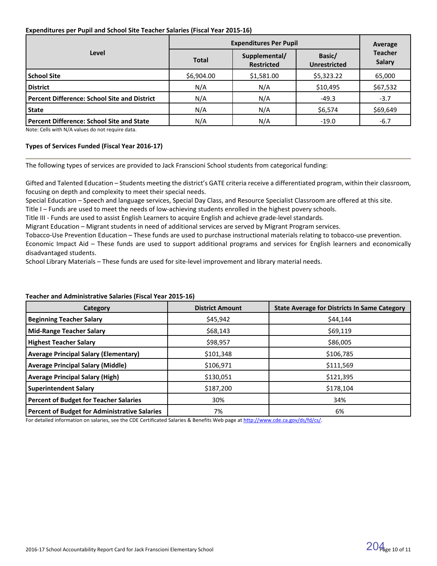### **Expenditures per Pupil and School Site Teacher Salaries (Fiscal Year 2015-16)**

|                                              | <b>Expenditures Per Pupil</b> | Average                            |                               |                                 |
|----------------------------------------------|-------------------------------|------------------------------------|-------------------------------|---------------------------------|
| Level                                        | <b>Total</b>                  | Supplemental/<br><b>Restricted</b> | Basic/<br><b>Unrestricted</b> | <b>Teacher</b><br><b>Salary</b> |
| <b>School Site</b>                           | \$6,904.00                    | \$1,581.00                         | \$5,323.22                    | 65,000                          |
| <b>District</b>                              | N/A                           | N/A                                | \$10,495                      | \$67,532                        |
| Percent Difference: School Site and District | N/A                           | N/A                                | $-49.3$                       | $-3.7$                          |
| <b>State</b>                                 | N/A                           | N/A                                | \$6,574                       | \$69,649                        |
| Percent Difference: School Site and State    | N/A                           | N/A                                | $-19.0$                       | $-6.7$                          |

Note: Cells with N/A values do not require data.

### **Types of Services Funded (Fiscal Year 2016-17)**

The following types of services are provided to Jack Franscioni School students from categorical funding:

Gifted and Talented Education – Students meeting the district's GATE criteria receive a differentiated program, within their classroom, focusing on depth and complexity to meet their special needs.

Special Education – Speech and language services, Special Day Class, and Resource Specialist Classroom are offered at this site.

Title I – Funds are used to meet the needs of low-achieving students enrolled in the highest povery schools.

Title III - Funds are used to assist English Learners to acquire English and achieve grade-level standards.

Migrant Education – Migrant students in need of additional services are served by Migrant Program services.

Tobacco-Use Prevention Education – These funds are used to purchase instructional materials relating to tobacco-use prevention. Economic Impact Aid – These funds are used to support additional programs and services for English learners and economically disadvantaged students.

School Library Materials – These funds are used for site-level improvement and library material needs.

### **Teacher and Administrative Salaries (Fiscal Year 2015-16)**

| Category                                             | <b>District Amount</b> | <b>State Average for Districts In Same Category</b> |
|------------------------------------------------------|------------------------|-----------------------------------------------------|
| <b>Beginning Teacher Salary</b>                      | \$45,942               | \$44.144                                            |
| <b>Mid-Range Teacher Salary</b>                      | \$68,143               | \$69,119                                            |
| <b>Highest Teacher Salary</b>                        | \$98,957               | \$86,005                                            |
| <b>Average Principal Salary (Elementary)</b>         | \$101,348              | \$106,785                                           |
| <b>Average Principal Salary (Middle)</b>             | \$106,971              | \$111,569                                           |
| <b>Average Principal Salary (High)</b>               | \$130,051              | \$121,395                                           |
| <b>Superintendent Salary</b>                         | \$187,200              | \$178,104                                           |
| <b>Percent of Budget for Teacher Salaries</b>        | 30%                    | 34%                                                 |
| <b>Percent of Budget for Administrative Salaries</b> | 7%                     | 6%                                                  |

For detailed information on salaries, see the CDE Certificated Salaries & Benefits Web page at [http://www.cde.ca.gov/ds/fd/cs/.](http://www.cde.ca.gov/ds/fd/cs/)